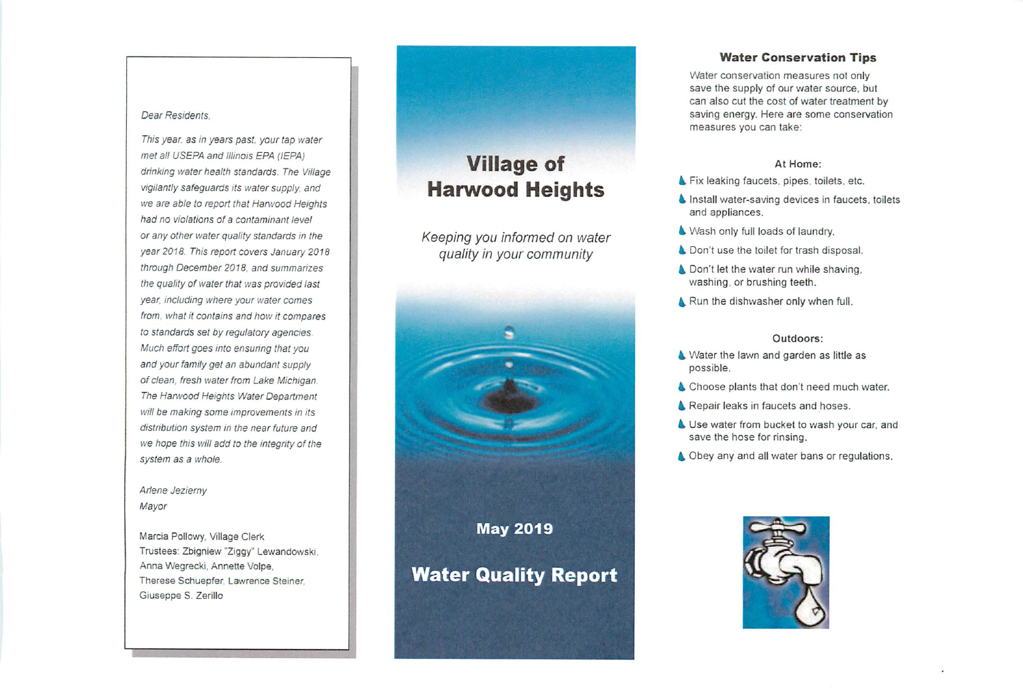#### **Dear Residents,**

**Thisyear, as in years past your tap water met all USEPA and Illinois EPA (IEPA) drinking water health standards. The Village vigilantlysafeguards its water supply and we are able to report that Hanvood Heights had no violations of a contaminant level or any other water quality standards in the year 2018. This report covers January 2018 through December 2018, and summarizes the quality of water that was provided last year including where your water comes from, what it contains and how it compares to standards set by regulatory agencies. Mucheffortgoes into ensunng thatyou and your family get an abundant supply of clean, fresh water from Lake Michigan. The Hanvood Heights Water Department will be making some improvements in its distribution system in the near future and we hope this willadd to the integrity of the system as a whole.**

## **Ariene Jezierny Mayor**

Marcia Poilowy, Village Clerk Trustees: Zbigniew "Ziggy" Lewandowski Anna Wegrecki. Annette Volpe. Therese Schuepfer, Lawrence Steiner. Giuseppe S. Zerillo

## Village of Harwood Heights

**Keeping you informed on water quality in your community**



#### *Water Conservation Tips*

Water conservation measures not only save the supply of our water source, but can also cut the cost of water treatment by saving energy. Here are some conservation measures you can take:

## At Home:

- Fix leaking faucets, pipes, toilets, etc.
- $\blacklozenge$  Install water-saving devices in faucets, toilets and appliances.
- $\triangle$  Wash only full loads of laundry.
- **4** Don't use the toilet for trash disposal.
- ▲ Don't let the water run while shaving, washing, or brushing teeth.
- A Run the dishwasher only when full.

#### Outdoors:

- 4 Water the lawn and garden as little as possible.
- **4** Choose plants that don't need much water.
- **A** Repair leaks in faucets and hoses.
- Use water from bucket to wash your car, and save the hose for rinsing.
- **A** Obey any and all water bans or regulations.

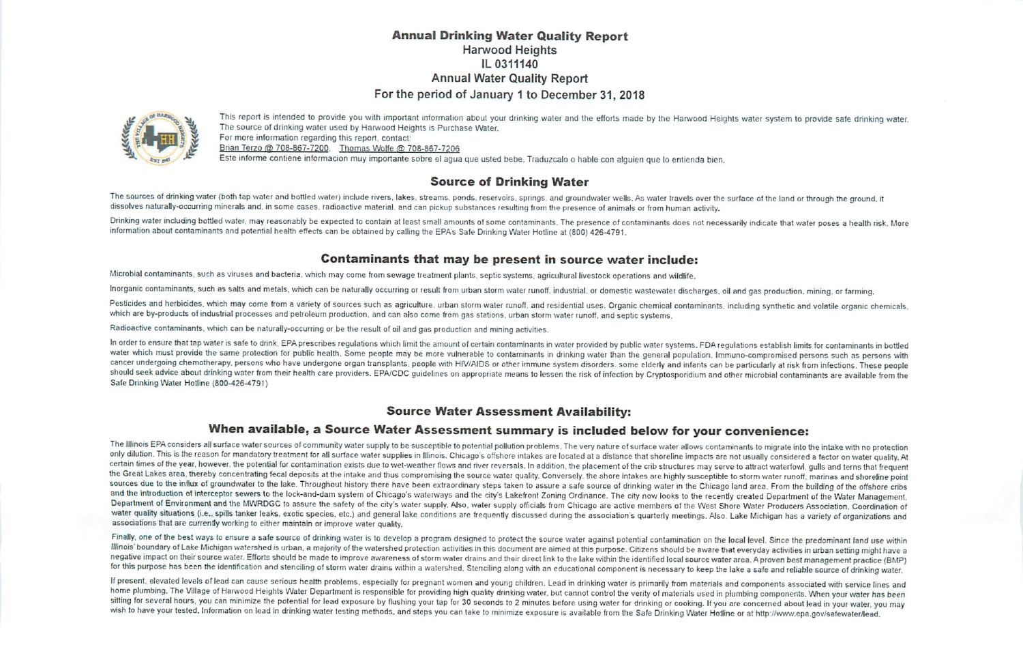## *Annual Drinking Water Quality Report* Harwood Heights IL 0311140 Annual Water Quality Report For the period of January 1 to December 31, 2018



This report is intended to provide you with important information about your drinking water and the efforts made by the Harwood Heights water system to provide safe drinking water. The source of drinking water used by Harwood Heights is Purchase Water.<br>For more information regarding this report, contact: Brian Terzo @ 708-867-7200. Thomas Wolfe @ 708-867-7206 Este informe contiene informacion muy importante sobre el agua que usted bebe. Traduzcalo o hable con alguien que lo entienda bien.

## *Source of Drinking Water*

The sources of drinking water (both tap water and bottled water) include rivers, lakes, streams, ponds, reservoirs, springs, and groundwater wells. As water travels over the surface of the land or through the ground, it dissolves naturally-occurring minerals and, in some cases, radioactive material, and can pickup substances resulting from the presence of animals or from human activity.

Drinking water including bottled water, may reasonably be expected to contain at least small amounts of some contaminants. The presence of contaminants does not necessarily indicate that water poses a health risk. More information about contaminants and potential health effects can be obtained by calling the EPA's Safe Drinking Water Hotline at (800) 426-4791.

## *Contaminants that may be present in source water include:*

Microbial contaminants, such as viruses and bacteria, which may come from sewage treatment plants, septic systems, agricultural livestock operations and wildlife.

Inorganic contaminants, such as salts and metals, which can be naturally occurring or result from urban storm water runoff, industrial, or domestic wastewater discharges, oil and gas production, mining, or farming.

Pesticides and herbicides, which may come from a variety of sources such as agriculture, urban storm water runoff, and residential uses. Organic chemical contaminants, including synthetic and volatile organic chemicals, which are by-products of industrial processes and petroleum production, and can also come from gas stations, urban storm water runoff, and septic systems.

Radioactive contaminants, which can be naturally-occurring or be the result of oil and gas production and mining activities.

In order to ensure that tap water is safe to drink, EPA prescribes regulations which limit the amount of certain contaminants in water provided by public water systems. FDA regulations establish limits for contaminants in cancer undergoing chemotherapy, persons who have undergone organ transplants, people with HIV/AIDS or other immune system disorders, some elderly and infants can be particularly at risk from infections. These people should seek advice about drinking water from their health care providers. EPA/CDC guidelines on appropriate means to lessen the risk of infection by Cryptosporidium and other microbial contaminants are available from the Safe Drinking Water Hotline (800-426-4791)

## *Source Water Assessment Availability:*

## *When available, a Source Water Assessment summary is included below for your convenience:*

The Illinois EPA considers all surface water sources ofcommunity water supply tobesusceptible topotential pollution problems. The very nature ofsurface water allows contaminants tomigrate into theintake with noprotection only dilution. This is the reason for mandatory treatment for all surface water supplies in Illinois. Chicago's offshore intakes are located at a distance that shoreline impacts are not usually considered a factor on water the Great Lakes area, thereby concentrating fecal deposits at the intake and thus compromising the source water quality. Conversely, the shore intakes are highly susceptible to storm water runoff, marinas and shoreline poi water quality situations (i.e., spills tanker leaks, exotic species, etc.) and general lake conditions are frequently discussed during the association's quarterly meetings. Also, Lake Michigan has a variety of organization

Finally, one of the best ways to ensure a safe source of drinking water is to develop a program designed to protect the source water against potential contamination on the local level. Since the predominant land use within negative impact on their source water. Efforts should be made to improve awareness of storm water drains and their direct link to the lake within the identified local source water area. A proven best management practice (B for this purpose has been the identification and stenciling of storm water drains within a watershed. Stenciling along with an educational component is necessary to keep the lake a safe and reliable source of drinking wate

If present, elevated levels of lead can cause serious health problems, especially for pregnant women and young children. Lead in drinking water is primarily from materials and components associated with service lines and home plumbing. The Village of Harwood Heights Water Department is responsible for providing high quality drinking water, but cannot control the verity of materials used in plumbing components. When your water has been sitting for several hours, you can minimize the potential for lead exposure by flushing your tap for 30 seconds to 2 minutes before using water for drinking or cooking. If you are concerned about lead in your water, you ma wish to have your tested. Information on lead in drinking water testing methods, and steps you can take to minimize exposure is available from the Safe Drinking Water Hotline or at http://www.epa.gov/safewater/lead.